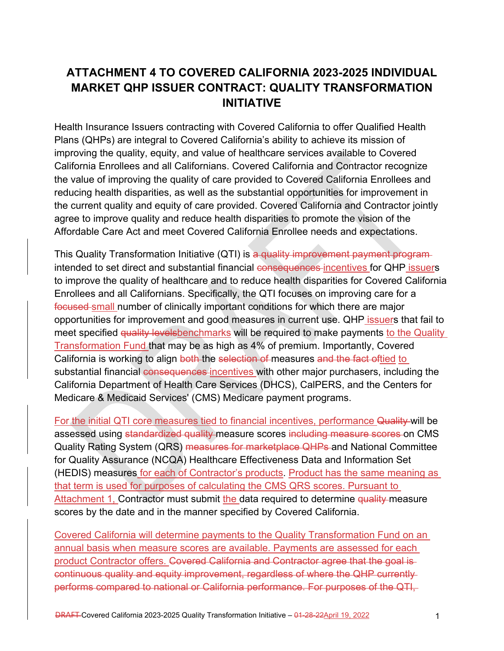# **ATTACHMENT 4 TO COVERED CALIFORNIA 2023-2025 INDIVIDUAL MARKET QHP ISSUER CONTRACT: QUALITY TRANSFORMATION INITIATIVE**

Health Insurance Issuers contracting with Covered California to offer Qualified Health Plans (QHPs) are integral to Covered California's ability to achieve its mission of improving the quality, equity, and value of healthcare services available to Covered California Enrollees and all Californians. Covered California and Contractor recognize the value of improving the quality of care provided to Covered California Enrollees and reducing health disparities, as well as the substantial opportunities for improvement in the current quality and equity of care provided. Covered California and Contractor jointly agree to improve quality and reduce health disparities to promote the vision of the Affordable Care Act and meet Covered California Enrollee needs and expectations.

This Quality Transformation Initiative (QTI) is a quality improvement payment program intended to set direct and substantial financial consequences incentives for QHP issuers to improve the quality of healthcare and to reduce health disparities for Covered California Enrollees and all Californians. Specifically, the QTI focuses on improving care for a focused small number of clinically important conditions for which there are major opportunities for improvement and good measures in current use. QHP issuers that fail to meet specified quality levelsbenchmarks will be required to make payments to the Quality Transformation Fund that may be as high as 4% of premium. Importantly, Covered California is working to align both the selection of measures and the fact oftied to substantial financial consequences incentives with other major purchasers, including the California Department of Health Care Services (DHCS), CalPERS, and the Centers for Medicare & Medicaid Services' (CMS) Medicare payment programs.

For the initial QTI core measures tied to financial incentives, performance Quality will be assessed using standardized quality measure scores including measure scores on CMS Quality Rating System (QRS) measures for marketplace QHPs and National Committee for Quality Assurance (NCQA) Healthcare Effectiveness Data and Information Set (HEDIS) measures for each of Contractor's products. Product has the same meaning as that term is used for purposes of calculating the CMS QRS scores. Pursuant to Attachment 1, Contractor must submit the data required to determine quality measure scores by the date and in the manner specified by Covered California.

Covered California will determine payments to the Quality Transformation Fund on an annual basis when measure scores are available. Payments are assessed for each product Contractor offers. Covered California and Contractor agree that the goal is continuous quality and equity improvement, regardless of where the QHP currently performs compared to national or California performance. For purposes of the QTI,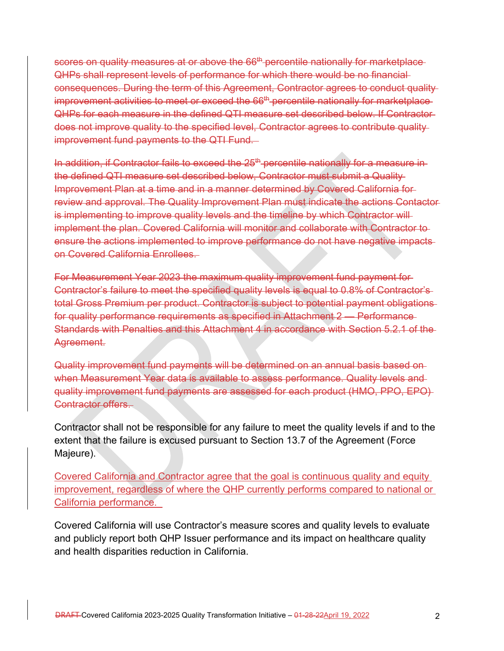scores on quality measures at or above the 66<sup>th</sup> percentile nationally for marketplace QHPs shall represent levels of performance for which there would be no financial consequences. During the term of this Agreement, Contractor agrees to conduct quality improvement activities to meet or exceed the 66<sup>th</sup> percentile nationally for marketplace QHPs for each measure in the defined QTI measure set described below. If Contractor does not improve quality to the specified level, Contractor agrees to contribute quality improvement fund payments to the QTI Fund.

In addition, if Contractor fails to exceed the 25<sup>th</sup> percentile nationally for a measure in the defined QTI measure set described below, Contractor must submit a Quality Improvement Plan at a time and in a manner determined by Covered California for review and approval. The Quality Improvement Plan must indicate the actions Contactor is implementing to improve quality levels and the timeline by which Contractor will implement the plan. Covered California will monitor and collaborate with Contractor to ensure the actions implemented to improve performance do not have negative impacts on Covered California Enrollees.

For Measurement Year 2023 the maximum quality improvement fund payment for Contractor's failure to meet the specified quality levels is equal to 0.8% of Contractor's total Gross Premium per product. Contractor is subject to potential payment obligations for quality performance requirements as specified in Attachment 2 — Performance Standards with Penalties and this Attachment 4 in accordance with Section 5.2.1 of the Agreement.

Quality improvement fund payments will be determined on an annual basis based on when Measurement Year data is available to assess performance. Quality levels and quality improvement fund payments are assessed for each product (HMO, PPO, EPO) Contractor offers.

Contractor shall not be responsible for any failure to meet the quality levels if and to the extent that the failure is excused pursuant to Section 13.7 of the Agreement (Force Majeure).

Covered California and Contractor agree that the goal is continuous quality and equity improvement, regardless of where the QHP currently performs compared to national or California performance.

Covered California will use Contractor's measure scores and quality levels to evaluate and publicly report both QHP Issuer performance and its impact on healthcare quality and health disparities reduction in California.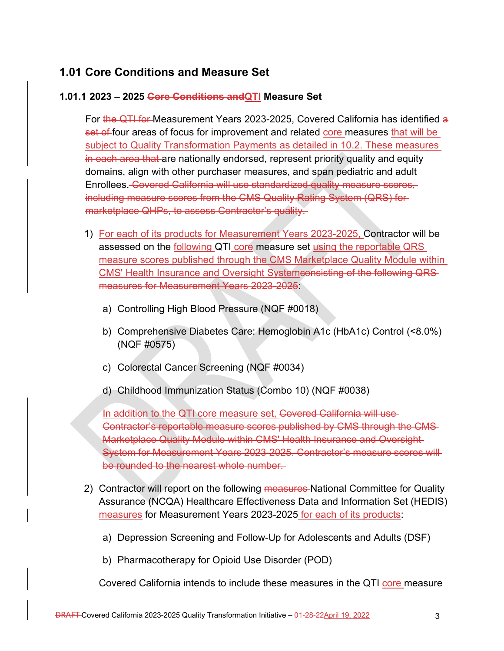### **1.01 Core Conditions and Measure Set**

#### **1.01.1 2023 – 2025 Core Conditions andQTI Measure Set**

For the QTI for Measurement Years 2023-2025, Covered California has identified a set of four areas of focus for improvement and related core measures that will be subject to Quality Transformation Payments as detailed in 10.2. These measures in each area that are nationally endorsed, represent priority quality and equity domains, align with other purchaser measures, and span pediatric and adult Enrollees. Covered California will use standardized quality measure scores, including measure scores from the CMS Quality Rating System (QRS) for marketplace QHPs, to assess Contractor's quality.

- 1) For each of its products for Measurement Years 2023-2025, Contractor will be assessed on the following QTI core measure set using the reportable QRS measure scores published through the CMS Marketplace Quality Module within CMS' Health Insurance and Oversight Systemconsisting of the following QRS measures for Measurement Years 2023-2025:
	- a) Controlling High Blood Pressure (NQF #0018)
	- b) Comprehensive Diabetes Care: Hemoglobin A1c (HbA1c) Control (<8.0%) (NQF #0575)
	- c) Colorectal Cancer Screening (NQF #0034)
	- d) Childhood Immunization Status (Combo 10) (NQF #0038)

In addition to the QTI core measure set, Covered California will use Contractor's reportable measure scores published by CMS through the CMS Marketplace Quality Module within CMS' Health Insurance and Oversight System for Measurement Years 2023-2025. Contractor's measure scores will be rounded to the nearest whole number.

- 2) Contractor will report on the following measures-National Committee for Quality Assurance (NCQA) Healthcare Effectiveness Data and Information Set (HEDIS) measures for Measurement Years 2023-2025 for each of its products:
	- a) Depression Screening and Follow-Up for Adolescents and Adults (DSF)
	- b) Pharmacotherapy for Opioid Use Disorder (POD)

Covered California intends to include these measures in the QTI core measure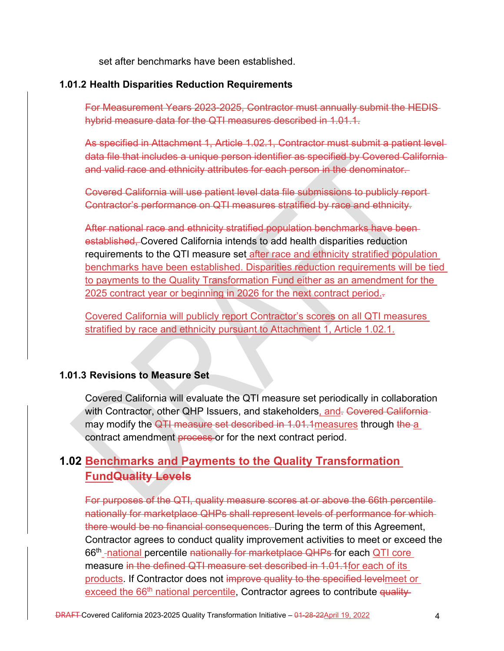set after benchmarks have been established.

#### **1.01.2 Health Disparities Reduction Requirements**

For Measurement Years 2023-2025, Contractor must annually submit the HEDIS hybrid measure data for the QTI measures described in 1.01.1.

As specified in Attachment 1, Article 1.02.1, Contractor must submit a patient level data file that includes a unique person identifier as specified by Covered California and valid race and ethnicity attributes for each person in the denominator.

Covered California will use patient level data file submissions to publicly report Contractor's performance on QTI measures stratified by race and ethnicity.

After national race and ethnicity stratified population benchmarks have been established, Covered California intends to add health disparities reduction requirements to the QTI measure set after race and ethnicity stratified population benchmarks have been established. Disparities reduction requirements will be tied to payments to the Quality Transformation Fund either as an amendment for the 2025 contract year or beginning in 2026 for the next contract period..

Covered California will publicly report Contractor's scores on all QTI measures stratified by race and ethnicity pursuant to Attachment 1, Article 1.02.1.

#### **1.01.3 Revisions to Measure Set**

Covered California will evaluate the QTI measure set periodically in collaboration with Contractor, other QHP Issuers, and stakeholders, and. Covered California may modify the QTI measure set described in 1.01.1 measures through the a contract amendment process or for the next contract period.

## **1.02 Benchmarks and Payments to the Quality Transformation FundQuality Levels**

For purposes of the QTI, quality measure scores at or above the 66th percentile nationally for marketplace QHPs shall represent levels of performance for which there would be no financial consequences. During the term of this Agreement, Contractor agrees to conduct quality improvement activities to meet or exceed the 66<sup>th</sup> -national percentile nationally for marketplace QHPs for each QTI core measure in the defined QTI measure set described in 1.01.1for each of its products. If Contractor does not improve quality to the specified levelmeet or exceed the 66<sup>th</sup> national percentile, Contractor agrees to contribute quality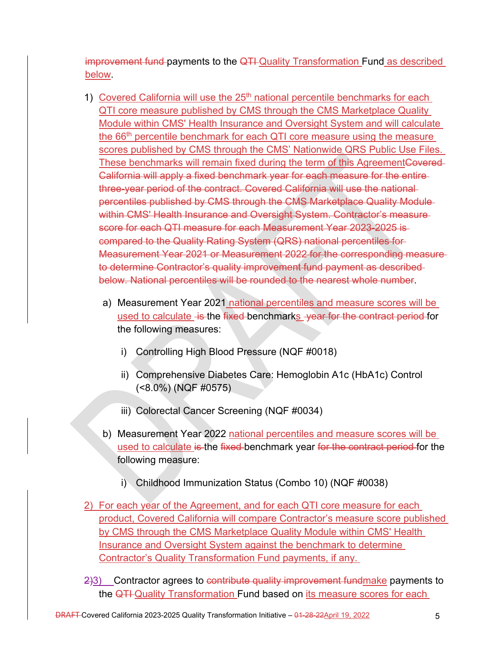improvement fund payments to the QTI Quality Transformation Fund as described below.

- 1) Covered California will use the 25<sup>th</sup> national percentile benchmarks for each QTI core measure published by CMS through the CMS Marketplace Quality Module within CMS' Health Insurance and Oversight System and will calculate the 66<sup>th</sup> percentile benchmark for each QTI core measure using the measure scores published by CMS through the CMS' Nationwide QRS Public Use Files. These benchmarks will remain fixed during the term of this AgreementCovered-California will apply a fixed benchmark year for each measure for the entire three-year period of the contract. Covered California will use the national percentiles published by CMS through the CMS Marketplace Quality Module within CMS' Health Insurance and Oversight System. Contractor's measurescore for each QTI measure for each Measurement Year 2023-2025 is compared to the Quality Rating System (QRS) national percentiles for Measurement Year 2021 or Measurement 2022 for the corresponding measure to determine Contractor's quality improvement fund payment as described below. National percentiles will be rounded to the nearest whole number.
	- a) Measurement Year 2021 national percentiles and measure scores will be used to calculate is the fixed benchmarks year for the contract period for the following measures:
		- i) Controlling High Blood Pressure (NQF #0018)
		- ii) Comprehensive Diabetes Care: Hemoglobin A1c (HbA1c) Control (<8.0%) (NQF #0575)
		- iii) Colorectal Cancer Screening (NQF #0034)
	- b) Measurement Year 2022 national percentiles and measure scores will be used to calculate is the fixed benchmark year for the contract period for the following measure:
		- i) Childhood Immunization Status (Combo 10) (NQF #0038)
- 2) For each year of the Agreement, and for each QTI core measure for each product, Covered California will compare Contractor's measure score published by CMS through the CMS Marketplace Quality Module within CMS' Health Insurance and Oversight System against the benchmark to determine Contractor's Quality Transformation Fund payments, if any.
- 2)3) Contractor agrees to contribute quality improvement fundmake payments to the QTI Quality Transformation Fund based on its measure scores for each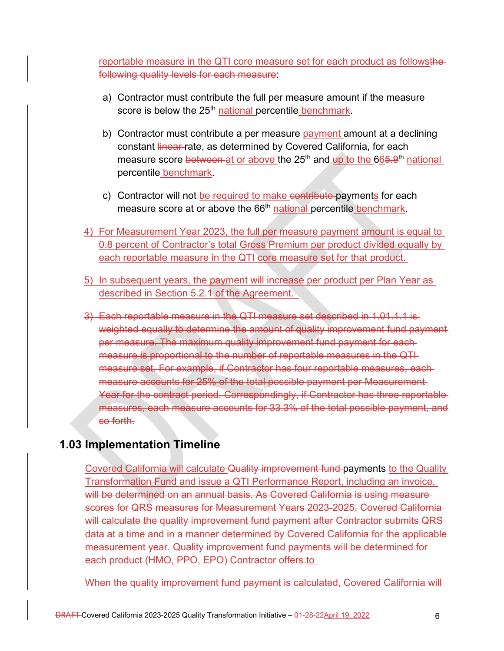reportable measure in the QTI core measure set for each product as followsthefollowing quality levels for each measure:

- a) Contractor must contribute the full per measure amount if the measure score is below the 25<sup>th</sup> national percentile benchmark.
- b) Contractor must contribute a per measure payment amount at a declining constant linear rate, as determined by Covered California, for each measure score between at or above the 25<sup>th</sup> and up to the 665.9<sup>th</sup> national percentile benchmark.
- c) Contractor will not be required to make contribute payments for each measure score at or above the 66<sup>th</sup> national percentile benchmark.
- 4) For Measurement Year 2023, the full per measure payment amount is equal to 0.8 percent of Contractor's total Gross Premium per product divided equally by each reportable measure in the QTI core measure set for that product.
- 5) In subsequent years, the payment will increase per product per Plan Year as described in Section 5.2.1 of the Agreement.
- 3) Each reportable measure in the QTI measure set described in 1.01.1.1 is weighted equally to determine the amount of quality improvement fund payment per measure. The maximum quality improvement fund payment for each measure is proportional to the number of reportable measures in the QTI measure set. For example, if Contractor has four reportable measures, each measure accounts for 25% of the total possible payment per Measurement Year for the contract period. Correspondingly, if Contractor has three reportable measures, each measure accounts for 33.3% of the total possible payment, and so forth.

## **1.03 Implementation Timeline**

Covered California will calculate Quality improvement fund payments to the Quality Transformation Fund and issue a QTI Performance Report, including an invoice, will be determined on an annual basis. As Covered California is using measurescores for QRS measures for Measurement Years 2023-2025, Covered California will calculate the quality improvement fund payment after Contractor submits QRS data at a time and in a manner determined by Covered California for the applicable measurement year. Quality improvement fund payments will be determined for each product (HMO, PPO, EPO) Contractor offers.to

When the quality improvement fund payment is calculated, Covered California will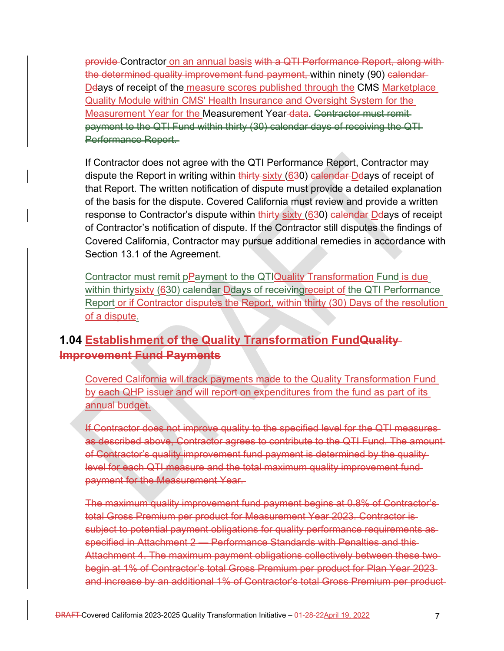provide Contractor on an annual basis with a QTI Performance Report, along with the determined quality improvement fund payment, within ninety (90) calendar-De ays of receipt of the measure scores published through the CMS Marketplace Quality Module within CMS' Health Insurance and Oversight System for the Measurement Year for the Measurement Year-data. Contractor must remitpayment to the QTI Fund within thirty (30) calendar days of receiving the QTI Performance Report.

If Contractor does not agree with the QTI Performance Report, Contractor may dispute the Report in writing within thirty-sixty (630) calendar Deays of receipt of that Report. The written notification of dispute must provide a detailed explanation of the basis for the dispute. Covered California must review and provide a written response to Contractor's dispute within thirty sixty (630) calendar Delays of receipt of Contractor's notification of dispute. If the Contractor still disputes the findings of Covered California, Contractor may pursue additional remedies in accordance with Section 13.1 of the Agreement.

Contractor must remit pPayment to the QTIQuality Transformation Fund is due within thirtysixty (630) calendar Ddays of receiving receipt of the QTI Performance Report or if Contractor disputes the Report, within thirty (30) Days of the resolution of a dispute.

## **1.04 Establishment of the Quality Transformation FundQuality Improvement Fund Payments**

Covered California will track payments made to the Quality Transformation Fund by each QHP issuer and will report on expenditures from the fund as part of its annual budget.

If Contractor does not improve quality to the specified level for the QTI measures as described above, Contractor agrees to contribute to the QTI Fund. The amount of Contractor's quality improvement fund payment is determined by the quality level for each QTI measure and the total maximum quality improvement fund payment for the Measurement Year.

The maximum quality improvement fund payment begins at 0.8% of Contractor's total Gross Premium per product for Measurement Year 2023. Contractor is subject to potential payment obligations for quality performance requirements as specified in Attachment 2 — Performance Standards with Penalties and this Attachment 4. The maximum payment obligations collectively between these two begin at 1% of Contractor's total Gross Premium per product for Plan Year 2023 and increase by an additional 1% of Contractor's total Gross Premium per product